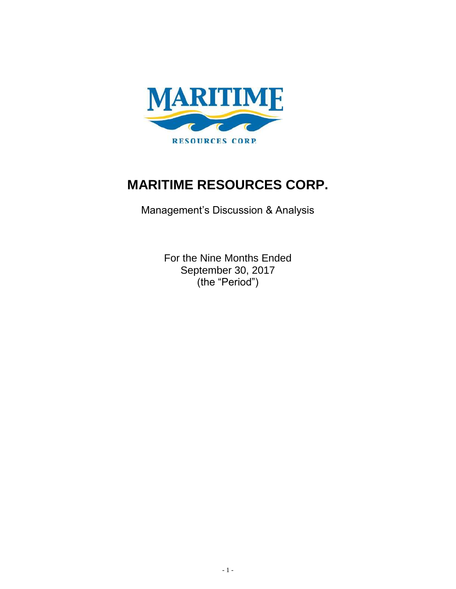

# **MARITIME RESOURCES CORP.**

Management's Discussion & Analysis

For the Nine Months Ended September 30, 2017 (the "Period")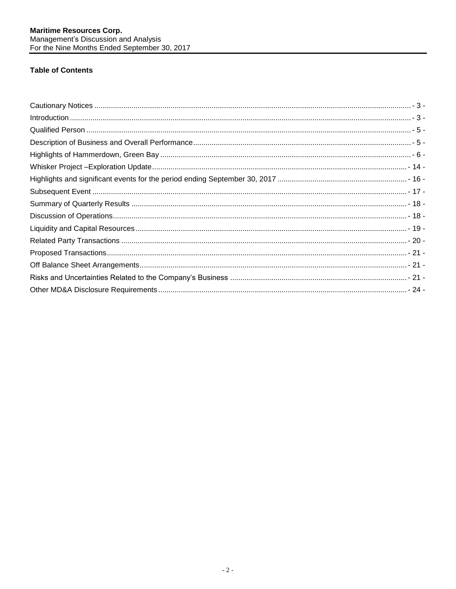# **Table of Contents**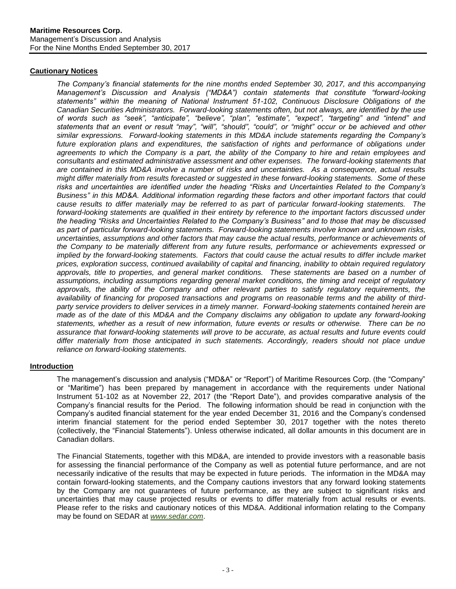## <span id="page-2-0"></span>**Cautionary Notices**

*The Company's financial statements for the nine months ended September 30, 2017, and this accompanying Management's Discussion and Analysis ("MD&A") contain statements that constitute "forward-looking statements" within the meaning of National Instrument 51-102, Continuous Disclosure Obligations of the Canadian Securities Administrators. Forward-looking statements often, but not always, are identified by the use of words such as "seek", "anticipate", "believe", "plan", "estimate", "expect", "targeting" and "intend" and statements that an event or result "may", "will", "should", "could", or "might" occur or be achieved and other similar expressions. Forward-looking statements in this MD&A include statements regarding the Company's future exploration plans and expenditures, the satisfaction of rights and performance of obligations under agreements to which the Company is a part, the ability of the Company to hire and retain employees and consultants and estimated administrative assessment and other expenses. The forward-looking statements that are contained in this MD&A involve a number of risks and uncertainties. As a consequence, actual results might differ materially from results forecasted or suggested in these forward-looking statements. Some of these risks and uncertainties are identified under the heading "Risks and Uncertainties Related to the Company's Business" in this MD&A. Additional information regarding these factors and other important factors that could cause results to differ materially may be referred to as part of particular forward-looking statements. The forward-looking statements are qualified in their entirety by reference to the important factors discussed under the heading "Risks and Uncertainties Related to the Company's Business" and to those that may be discussed as part of particular forward-looking statements. Forward-looking statements involve known and unknown risks, uncertainties, assumptions and other factors that may cause the actual results, performance or achievements of the Company to be materially different from any future results, performance or achievements expressed or implied by the forward-looking statements. Factors that could cause the actual results to differ include market prices, exploration success, continued availability of capital and financing, inability to obtain required regulatory approvals, title to properties, and general market conditions. These statements are based on a number of assumptions, including assumptions regarding general market conditions, the timing and receipt of regulatory approvals, the ability of the Company and other relevant parties to satisfy regulatory requirements, the availability of financing for proposed transactions and programs on reasonable terms and the ability of thirdparty service providers to deliver services in a timely manner. Forward-looking statements contained herein are made as of the date of this MD&A and the Company disclaims any obligation to update any forward-looking statements, whether as a result of new information, future events or results or otherwise. There can be no assurance that forward-looking statements will prove to be accurate, as actual results and future events could differ materially from those anticipated in such statements. Accordingly, readers should not place undue reliance on forward-looking statements.*

## <span id="page-2-1"></span>**Introduction**

The management's discussion and analysis ("MD&A" or "Report") of Maritime Resources Corp. (the "Company" or "Maritime") has been prepared by management in accordance with the requirements under National Instrument 51-102 as at November 22, 2017 (the "Report Date"), and provides comparative analysis of the Company's financial results for the Period. The following information should be read in conjunction with the Company's audited financial statement for the year ended December 31, 2016 and the Company's condensed interim financial statement for the period ended September 30, 2017 together with the notes thereto (collectively, the "Financial Statements"). Unless otherwise indicated, all dollar amounts in this document are in Canadian dollars.

The Financial Statements, together with this MD&A, are intended to provide investors with a reasonable basis for assessing the financial performance of the Company as well as potential future performance, and are not necessarily indicative of the results that may be expected in future periods. The information in the MD&A may contain forward-looking statements, and the Company cautions investors that any forward looking statements by the Company are not guarantees of future performance, as they are subject to significant risks and uncertainties that may cause projected results or events to differ materially from actual results or events. Please refer to the risks and cautionary notices of this MD&A. Additional information relating to the Company may be found on SEDAR at *[www.sedar.com](http://www.sedar.com/)*.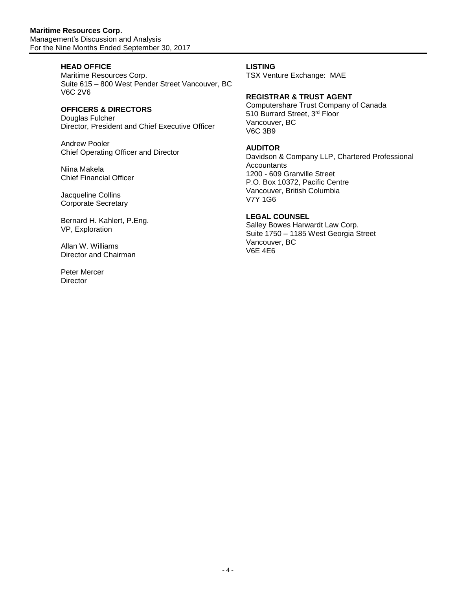# **HEAD OFFICE**

Maritime Resources Corp. Suite 615 – 800 West Pender Street Vancouver, BC V6C 2V6

# **OFFICERS & DIRECTORS**

Douglas Fulcher Director, President and Chief Executive Officer

Andrew Pooler Chief Operating Officer and Director

Niina Makela Chief Financial Officer

Jacqueline Collins Corporate Secretary

Bernard H. Kahlert, P.Eng. VP, Exploration

Allan W. Williams Director and Chairman

Peter Mercer **Director** 

## **LISTING**

TSX Venture Exchange: MAE

## **REGISTRAR & TRUST AGENT**

Computershare Trust Company of Canada 510 Burrard Street, 3rd Floor Vancouver, BC V6C 3B9

## **AUDITOR**

Davidson & Company LLP, Chartered Professional **Accountants** 1200 - 609 Granville Street P.O. Box 10372, Pacific Centre Vancouver, British Columbia V7Y 1G6

# **LEGAL COUNSEL**

Salley Bowes Harwardt Law Corp. Suite 1750 – 1185 West Georgia Street Vancouver, BC V6E 4E6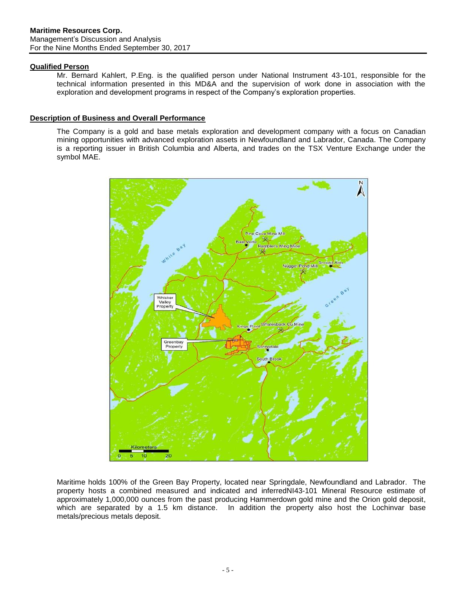## <span id="page-4-0"></span>**Qualified Person**

Mr. Bernard Kahlert, P.Eng. is the qualified person under National Instrument 43-101, responsible for the technical information presented in this MD&A and the supervision of work done in association with the exploration and development programs in respect of the Company's exploration properties.

## <span id="page-4-1"></span>**Description of Business and Overall Performance**

The Company is a gold and base metals exploration and development company with a focus on Canadian mining opportunities with advanced exploration assets in Newfoundland and Labrador, Canada. The Company is a reporting issuer in British Columbia and Alberta, and trades on the TSX Venture Exchange under the symbol MAE.



Maritime holds 100% of the Green Bay Property, located near Springdale, Newfoundland and Labrador. The property hosts a combined measured and indicated and inferredNI43-101 Mineral Resource estimate of approximately 1,000,000 ounces from the past producing Hammerdown gold mine and the Orion gold deposit, which are separated by a 1.5 km distance. In addition the property also host the Lochinvar base metals/precious metals deposit.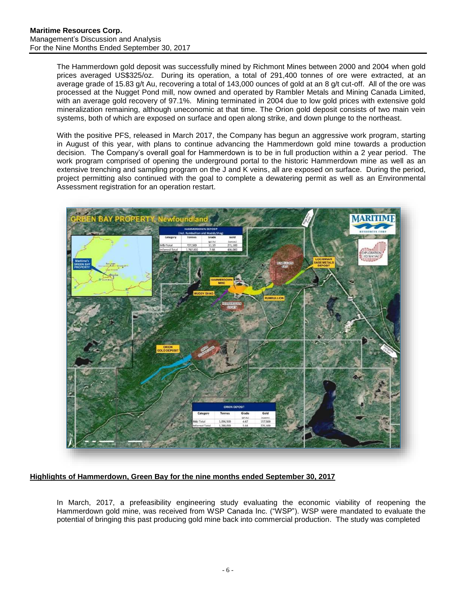The Hammerdown gold deposit was successfully mined by Richmont Mines between 2000 and 2004 when gold prices averaged US\$325/oz. During its operation, a total of 291,400 tonnes of ore were extracted, at an average grade of 15.83 g/t Au, recovering a total of 143,000 ounces of gold at an 8 g/t cut-off. All of the ore was processed at the Nugget Pond mill, now owned and operated by Rambler Metals and Mining Canada Limited, with an average gold recovery of 97.1%. Mining terminated in 2004 due to low gold prices with extensive gold mineralization remaining, although uneconomic at that time. The Orion gold deposit consists of two main vein systems, both of which are exposed on surface and open along strike, and down plunge to the northeast.

With the positive PFS, released in March 2017, the Company has begun an aggressive work program, starting in August of this year, with plans to continue advancing the Hammerdown gold mine towards a production decision. The Company's overall goal for Hammerdown is to be in full production within a 2 year period. The work program comprised of opening the underground portal to the historic Hammerdown mine as well as an extensive trenching and sampling program on the J and K veins, all are exposed on surface. During the period, project permitting also continued with the goal to complete a dewatering permit as well as an Environmental Assessment registration for an operation restart.



<span id="page-5-0"></span>**Highlights of Hammerdown, Green Bay for the nine months ended September 30, 2017**

In March, 2017, a prefeasibility engineering study evaluating the economic viability of reopening the Hammerdown gold mine, was received from WSP Canada Inc. ("WSP"). WSP were mandated to evaluate the potential of bringing this past producing gold mine back into commercial production. The study was completed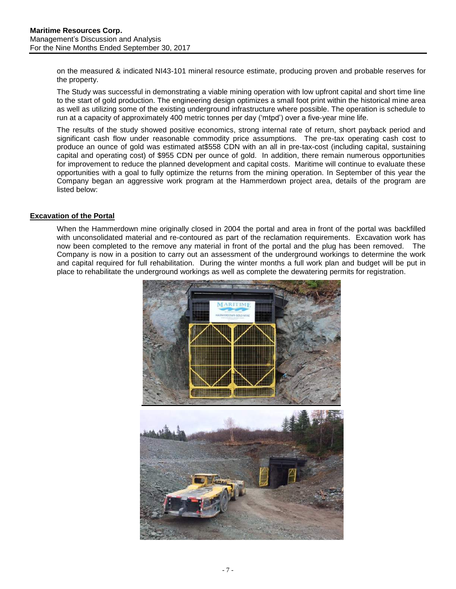on the measured & indicated NI43-101 mineral resource estimate, producing proven and probable reserves for the property.

The Study was successful in demonstrating a viable mining operation with low upfront capital and short time line to the start of gold production. The engineering design optimizes a small foot print within the historical mine area as well as utilizing some of the existing underground infrastructure where possible. The operation is schedule to run at a capacity of approximately 400 metric tonnes per day ('mtpd') over a five-year mine life.

The results of the study showed positive economics, strong internal rate of return, short payback period and significant cash flow under reasonable commodity price assumptions. The pre-tax operating cash cost to produce an ounce of gold was estimated at\$558 CDN with an all in pre-tax-cost (including capital, sustaining capital and operating cost) of \$955 CDN per ounce of gold. In addition, there remain numerous opportunities for improvement to reduce the planned development and capital costs. Maritime will continue to evaluate these opportunities with a goal to fully optimize the returns from the mining operation. In September of this year the Company began an aggressive work program at the Hammerdown project area, details of the program are listed below:

## **Excavation of the Portal**

When the Hammerdown mine originally closed in 2004 the portal and area in front of the portal was backfilled with unconsolidated material and re-contoured as part of the reclamation requirements. Excavation work has now been completed to the remove any material in front of the portal and the plug has been removed. The Company is now in a position to carry out an assessment of the underground workings to determine the work and capital required for full rehabilitation. During the winter months a full work plan and budget will be put in place to rehabilitate the underground workings as well as complete the dewatering permits for registration.

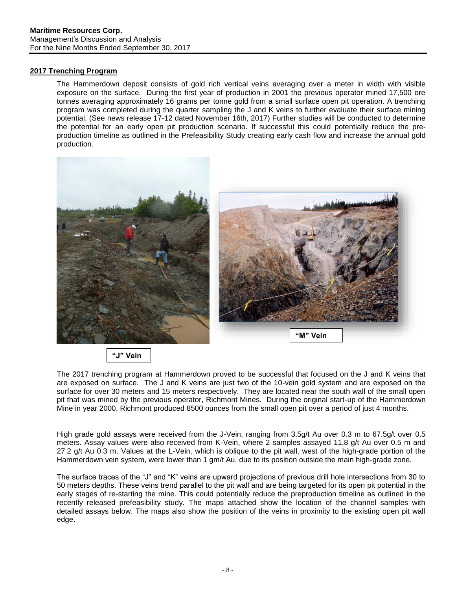# **2017 Trenching Program**

The Hammerdown deposit consists of gold rich vertical veins averaging over a meter in width with visible exposure on the surface. During the first year of production in 2001 the previous operator mined 17,500 ore tonnes averaging approximately 16 grams per tonne gold from a small surface open pit operation. A trenching program was completed during the quarter sampling the J and K veins to further evaluate their surface mining potential. (See news release 17-12 dated November 16th, 2017) Further studies will be conducted to determine the potential for an early open pit production scenario. If successful this could potentially reduce the preproduction timeline as outlined in the Prefeasibility Study creating early cash flow and increase the annual gold production.



**"J" Vein**

The 2017 trenching program at Hammerdown proved to be successful that focused on the J and K veins that are exposed on surface. The J and K veins are just two of the 10-vein gold system and are exposed on the surface for over 30 meters and 15 meters respectively. They are located near the south wall of the small open pit that was mined by the previous operator, Richmont Mines. During the original start-up of the Hammerdown Mine in year 2000, Richmont produced 8500 ounces from the small open pit over a period of just 4 months.

High grade gold assays were received from the J-Vein, ranging from 3.5g/t Au over 0.3 m to 67.5g/t over 0.5 meters. Assay values were also received from K-Vein, where 2 samples assayed 11.8 g/t Au over 0.5 m and 27.2 g/t Au 0.3 m. Values at the L-Vein, which is oblique to the pit wall, west of the high-grade portion of the Hammerdown vein system, were lower than 1 gm/t Au, due to its position outside the main high-grade zone.

The surface traces of the "J" and "K" veins are upward projections of previous drill hole intersections from 30 to 50 meters depths. These veins trend parallel to the pit wall and are being targeted for its open pit potential in the early stages of re-starting the mine. This could potentially reduce the preproduction timeline as outlined in the recently released prefeasibility study. The maps attached show the location of the channel samples with detailed assays below. The maps also show the position of the veins in proximity to the existing open pit wall edge.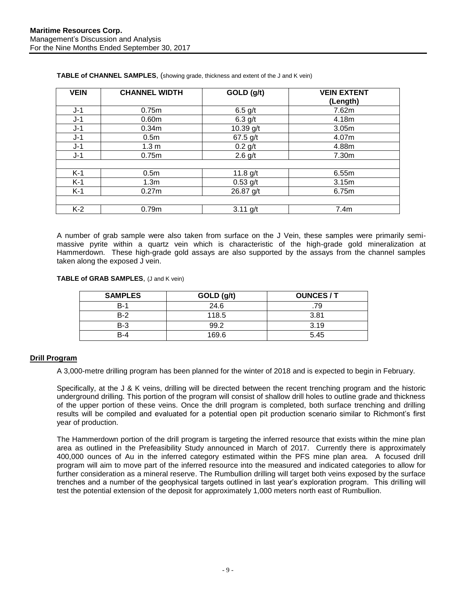| <b>VEIN</b> | <b>CHANNEL WIDTH</b> | GOLD (g/t)  | <b>VEIN EXTENT</b> |
|-------------|----------------------|-------------|--------------------|
|             |                      |             | (Length)           |
| $J-1$       | 0.75m                | $6.5$ g/t   | 7.62m              |
| $J-1$       | 0.60 <sub>m</sub>    | $6.3$ g/t   | 4.18m              |
| $J-1$       | 0.34m                | 10.39 $g/t$ | 3.05m              |
| $J-1$       | 0.5 <sub>m</sub>     | $67.5$ g/t  | 4.07m              |
| $J-1$       | 1.3 <sub>m</sub>     | $0.2$ g/t   | 4.88m              |
| J-1         | 0.75m                | $2.6$ g/t   | 7.30m              |
|             |                      |             |                    |
| $K-1$       | 0.5 <sub>m</sub>     | 11.8 $g/t$  | 6.55m              |
| $K-1$       | 1.3 <sub>m</sub>     | $0.53$ g/t  | 3.15m              |
| $K-1$       | 0.27m                | 26.87 g/t   | 6.75m              |
|             |                      |             |                    |
| $K-2$       | 0.79m                | $3.11$ g/t  | 7.4m               |

**TABLE of CHANNEL SAMPLES**, (showing grade, thickness and extent of the J and K vein)

A number of grab sample were also taken from surface on the J Vein, these samples were primarily semimassive pyrite within a quartz vein which is characteristic of the high-grade gold mineralization at Hammerdown. These high-grade gold assays are also supported by the assays from the channel samples taken along the exposed J vein.

**TABLE of GRAB SAMPLES**, (J and K vein)

| <b>SAMPLES</b> | GOLD (g/t) | <b>OUNCES/T</b> |
|----------------|------------|-----------------|
| $B-1$          | 24.6       | .79             |
| $B-2$          | 118.5      | 3.81            |
| $B-3$          | 99.2       | 3.19            |
| R-4            | 169.6      | 5.45            |

## **Drill Program**

A 3,000-metre drilling program has been planned for the winter of 2018 and is expected to begin in February.

Specifically, at the J & K veins, drilling will be directed between the recent trenching program and the historic underground drilling. This portion of the program will consist of shallow drill holes to outline grade and thickness of the upper portion of these veins. Once the drill program is completed, both surface trenching and drilling results will be compiled and evaluated for a potential open pit production scenario similar to Richmont's first year of production.

The Hammerdown portion of the drill program is targeting the inferred resource that exists within the mine plan area as outlined in the Prefeasibility Study announced in March of 2017. Currently there is approximately 400,000 ounces of Au in the inferred category estimated within the PFS mine plan area. A focused drill program will aim to move part of the inferred resource into the measured and indicated categories to allow for further consideration as a mineral reserve. The Rumbullion drilling will target both veins exposed by the surface trenches and a number of the geophysical targets outlined in last year's exploration program. This drilling will test the potential extension of the deposit for approximately 1,000 meters north east of Rumbullion.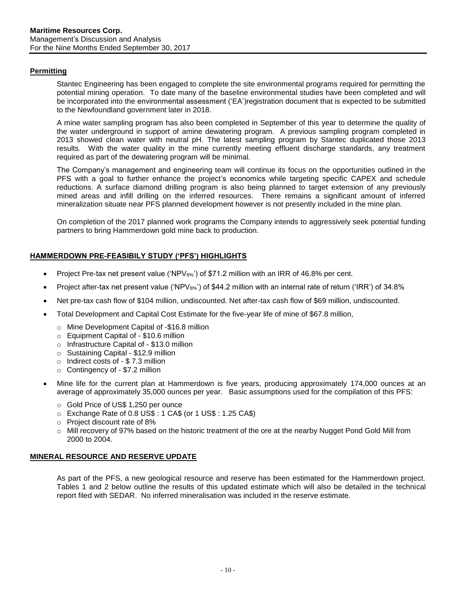## **Permitting**

Stantec Engineering has been engaged to complete the site environmental programs required for permitting the potential mining operation. To date many of the baseline environmental studies have been completed and will be incorporated into the environmental assessment ('EA')registration document that is expected to be submitted to the Newfoundland government later in 2018.

A mine water sampling program has also been completed in September of this year to determine the quality of the water underground in support of amine dewatering program. A previous sampling program completed in 2013 showed clean water with neutral pH. The latest sampling program by Stantec duplicated those 2013 results. With the water quality in the mine currently meeting effluent discharge standards, any treatment required as part of the dewatering program will be minimal.

The Company's management and engineering team will continue its focus on the opportunities outlined in the PFS with a goal to further enhance the project's economics while targeting specific CAPEX and schedule reductions. A surface diamond drilling program is also being planned to target extension of any previously mined areas and infill drilling on the inferred resources. There remains a significant amount of inferred mineralization situate near PFS planned development however is not presently included in the mine plan.

On completion of the 2017 planned work programs the Company intends to aggressively seek potential funding partners to bring Hammerdown gold mine back to production.

## **HAMMERDOWN PRE-FEASIBILY STUDY ('PFS') HIGHLIGHTS**

- Project Pre-tax net present value ('NPV $_{8\%}$ ') of \$71.2 million with an IRR of 46.8% per cent.
- Project after-tax net present value ('NPV<sub>8%</sub>') of \$44.2 million with an internal rate of return ('IRR') of 34.8%
- Net pre-tax cash flow of \$104 million, undiscounted. Net after-tax cash flow of \$69 million, undiscounted.
- Total Development and Capital Cost Estimate for the five-year life of mine of \$67.8 million,
	- o Mine Development Capital of -\$16.8 million
	- o Equipment Capital of \$10.6 million
	- o Infrastructure Capital of \$13.0 million
	- o Sustaining Capital \$12.9 million
	- o Indirect costs of \$ 7.3 million
	- o Contingency of \$7.2 million
- Mine life for the current plan at Hammerdown is five years, producing approximately 174,000 ounces at an average of approximately 35,000 ounces per year. Basic assumptions used for the compilation of this PFS:
	- o Gold Price of US\$ 1,250 per ounce
	- o Exchange Rate of 0.8 US\$ : 1 CA\$ (or 1 US\$ : 1.25 CA\$)
	- o Project discount rate of 8%
	- o Mill recovery of 97% based on the historic treatment of the ore at the nearby Nugget Pond Gold Mill from 2000 to 2004.

## **MINERAL RESOURCE AND RESERVE UPDATE**

As part of the PFS, a new geological resource and reserve has been estimated for the Hammerdown project. Tables 1 and 2 below outline the results of this updated estimate which will also be detailed in the technical report filed with SEDAR. No inferred mineralisation was included in the reserve estimate.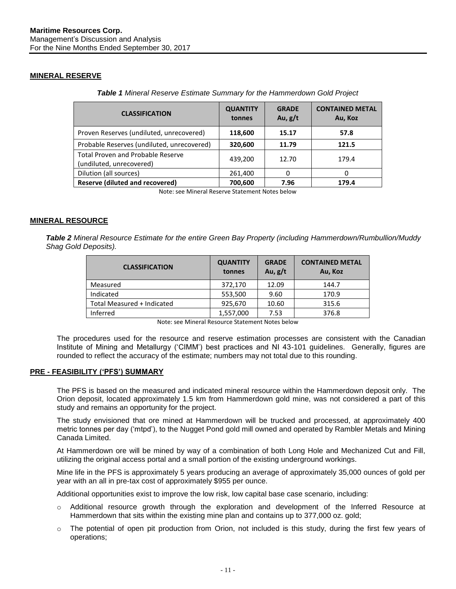# **MINERAL RESERVE**

| <b>CLASSIFICATION</b>                                                | <b>QUANTITY</b><br>tonnes | <b>GRADE</b><br>Au, $g/t$ | <b>CONTAINED METAL</b><br>Au, Koz |
|----------------------------------------------------------------------|---------------------------|---------------------------|-----------------------------------|
| Proven Reserves (undiluted, unrecovered)                             | 118,600                   | 15.17                     | 57.8                              |
| Probable Reserves (undiluted, unrecovered)                           | 320,600                   | 11.79                     | 121.5                             |
| <b>Total Proven and Probable Reserve</b><br>(undiluted, unrecovered) | 439,200                   | 12.70                     | 179.4                             |
| Dilution (all sources)                                               | 261,400                   |                           | O                                 |
| <b>Reserve (diluted and recovered)</b>                               | 700,600                   | 7.96                      | 179.4                             |

*Table 1 Mineral Reserve Estimate Summary for the Hammerdown Gold Project*

Note: see Mineral Reserve Statement Notes below

## **MINERAL RESOURCE**

*Table 2 Mineral Resource Estimate for the entire Green Bay Property (including Hammerdown/Rumbullion/Muddy Shag Gold Deposits).*

| <b>CLASSIFICATION</b>      | <b>QUANTITY</b><br>tonnes | <b>GRADE</b><br>Au, $g/t$ | <b>CONTAINED METAL</b><br>Au, Koz |
|----------------------------|---------------------------|---------------------------|-----------------------------------|
| Measured                   | 372,170                   | 12.09                     | 144.7                             |
| Indicated                  | 553,500                   | 9.60                      | 170.9                             |
| Total Measured + Indicated | 925,670                   | 10.60                     | 315.6                             |
| Inferred                   | 1,557,000                 | 7.53                      | 376.8                             |

The procedures used for the resource and reserve estimation processes are consistent with the Canadian Institute of Mining and Metallurgy ('CIMM') best practices and NI 43-101 guidelines. Generally, figures are rounded to reflect the accuracy of the estimate; numbers may not total due to this rounding.

## **PRE - FEASIBILITY ('PFS') SUMMARY**

The PFS is based on the measured and indicated mineral resource within the Hammerdown deposit only. The Orion deposit, located approximately 1.5 km from Hammerdown gold mine, was not considered a part of this study and remains an opportunity for the project.

The study envisioned that ore mined at Hammerdown will be trucked and processed, at approximately 400 metric tonnes per day ('mtpd'), to the Nugget Pond gold mill owned and operated by Rambler Metals and Mining Canada Limited.

At Hammerdown ore will be mined by way of a combination of both Long Hole and Mechanized Cut and Fill, utilizing the original access portal and a small portion of the existing underground workings.

Mine life in the PFS is approximately 5 years producing an average of approximately 35,000 ounces of gold per year with an all in pre-tax cost of approximately \$955 per ounce.

Additional opportunities exist to improve the low risk, low capital base case scenario, including:

- o Additional resource growth through the exploration and development of the Inferred Resource at Hammerdown that sits within the existing mine plan and contains up to 377,000 oz. gold;
- $\circ$  The potential of open pit production from Orion, not included is this study, during the first few years of operations;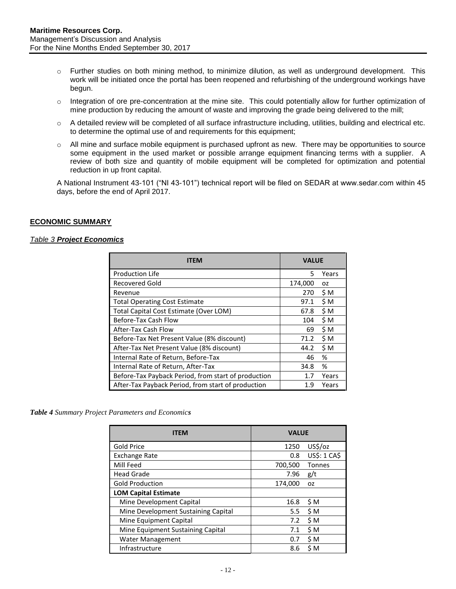- o Further studies on both mining method, to minimize dilution, as well as underground development. This work will be initiated once the portal has been reopened and refurbishing of the underground workings have begun.
- $\circ$  Integration of ore pre-concentration at the mine site. This could potentially allow for further optimization of mine production by reducing the amount of waste and improving the grade being delivered to the mill;
- o A detailed review will be completed of all surface infrastructure including, utilities, building and electrical etc. to determine the optimal use of and requirements for this equipment;
- $\circ$  All mine and surface mobile equipment is purchased upfront as new. There may be opportunities to source some equipment in the used market or possible arrange equipment financing terms with a supplier. A review of both size and quantity of mobile equipment will be completed for optimization and potential reduction in up front capital.

A National Instrument 43-101 ("NI 43-101") technical report will be filed on SEDAR at www.sedar.com within 45 days, before the end of April 2017.

## **ECONOMIC SUMMARY**

#### *Table 3 Project Economics*

| <b>ITEM</b>                                         |         | <b>VALUE</b> |  |
|-----------------------------------------------------|---------|--------------|--|
| <b>Production Life</b>                              | 5.      | Years        |  |
| <b>Recovered Gold</b>                               | 174,000 | OZ.          |  |
| Revenue                                             | 270     | \$M          |  |
| <b>Total Operating Cost Estimate</b>                | 97.1    | \$M          |  |
| Total Capital Cost Estimate (Over LOM)              | 67.8    | \$M          |  |
| Before-Tax Cash Flow                                | 104     | \$M          |  |
| After-Tax Cash Flow                                 | 69      | \$M          |  |
| Before-Tax Net Present Value (8% discount)          | 71.2    | \$M          |  |
| After-Tax Net Present Value (8% discount)           | 44.2    | \$M          |  |
| Internal Rate of Return, Before-Tax                 | 46      | %            |  |
| Internal Rate of Return, After-Tax                  | 34.8    | %            |  |
| Before-Tax Payback Period, from start of production | 1.7     | Years        |  |
| After-Tax Payback Period, from start of production  | 1.9     | Years        |  |

*Table 4 Summary Project Parameters and Economics*

| <b>ITFM</b>                         | <b>VALUE</b> |              |
|-------------------------------------|--------------|--------------|
| <b>Gold Price</b>                   | 1250         | US\$/oz      |
| <b>Exchange Rate</b>                | 0.8          | US\$: 1 CA\$ |
| Mill Feed                           | 700,500      | Tonnes       |
| <b>Head Grade</b>                   | 7.96         | g/t          |
| <b>Gold Production</b>              | 174,000      | 0Z           |
| <b>LOM Capital Estimate</b>         |              |              |
| Mine Development Capital            | 16.8         | \$M          |
| Mine Development Sustaining Capital | 5.5          | \$M          |
| Mine Equipment Capital              | 7.2          | \$M          |
| Mine Equipment Sustaining Capital   | 7.1          | \$M          |
| <b>Water Management</b>             | 0.7          | \$M          |
| Infrastructure                      | 8.6          | \$M          |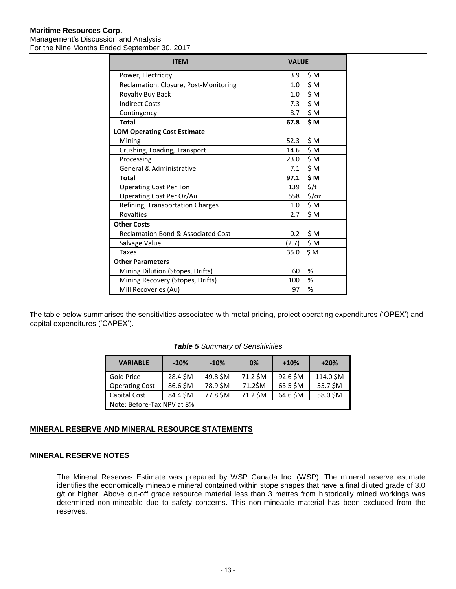#### **Maritime Resources Corp.** Management's Discussion and Analysis For the Nine Months Ended September 30, 2017

| <b>ITEM</b>                                   | <b>VALUE</b>      |              |
|-----------------------------------------------|-------------------|--------------|
| Power, Electricity                            |                   | 3.9 $$M$     |
| Reclamation, Closure, Post-Monitoring         |                   | $1.0 \div M$ |
| Royalty Buy Back                              |                   | $1.0 \div M$ |
| <b>Indirect Costs</b>                         |                   | $7.3$ $$M$   |
| Contingency                                   |                   | 8.7 SM       |
| <b>Total</b>                                  | 67.8              | \$M          |
| <b>LOM Operating Cost Estimate</b>            |                   |              |
| Mining                                        | 52.3 \$M          |              |
| Crushing, Loading, Transport                  | 14.6 \$M          |              |
| Processing                                    | 23.0 \$ M         |              |
| <b>General &amp; Administrative</b>           |                   | $7.1$ $$M$   |
| Total                                         | 97.1              | \$M          |
| <b>Operating Cost Per Ton</b>                 | 139 $\frac{2}{1}$ |              |
| Operating Cost Per Oz/Au                      |                   | 558 \$/oz    |
| Refining, Transportation Charges              |                   | $1.0 \div M$ |
| Royalties                                     | 2.7               | \$M          |
| <b>Other Costs</b>                            |                   |              |
| <b>Reclamation Bond &amp; Associated Cost</b> | 0.2               | \$M          |
| Salvage Value                                 | (2.7)             | \$M          |
| <b>Taxes</b>                                  | 35.0              | \$M          |
| <b>Other Parameters</b>                       |                   |              |
| Mining Dilution (Stopes, Drifts)              | 60                | %            |
| Mining Recovery (Stopes, Drifts)              | 100               | %            |
| Mill Recoveries (Au)                          | 97                | %            |

**T**he table below summarises the sensitivities associated with metal pricing, project operating expenditures ('OPEX') and capital expenditures ('CAPEX').

## *Table 5 Summary of Sensitivities*

| <b>VARIABLE</b>            | $-20%$   | $-10%$   | 0%       | $+10%$   | $+20%$    |
|----------------------------|----------|----------|----------|----------|-----------|
| Gold Price                 | 28.4 \$M | 49.8 \$M | 71.2 \$M | 92.6 \$M | 114.0 \$M |
| <b>Operating Cost</b>      | 86.6 \$M | 78.9 \$M | 71.2\$M  | 63.5 \$M | 55.7 \$M  |
| Capital Cost               | 84.4 \$M | 77.8 \$M | 71.2 \$M | 64.6 \$M | 58.0 \$M  |
| Note: Before-Tax NPV at 8% |          |          |          |          |           |

# **MINERAL RESERVE AND MINERAL RESOURCE STATEMENTS**

## **MINERAL RESERVE NOTES**

The Mineral Reserves Estimate was prepared by WSP Canada Inc. (WSP). The mineral reserve estimate identifies the economically mineable mineral contained within stope shapes that have a final diluted grade of 3.0 g/t or higher. Above cut-off grade resource material less than 3 metres from historically mined workings was determined non-mineable due to safety concerns. This non-mineable material has been excluded from the reserves.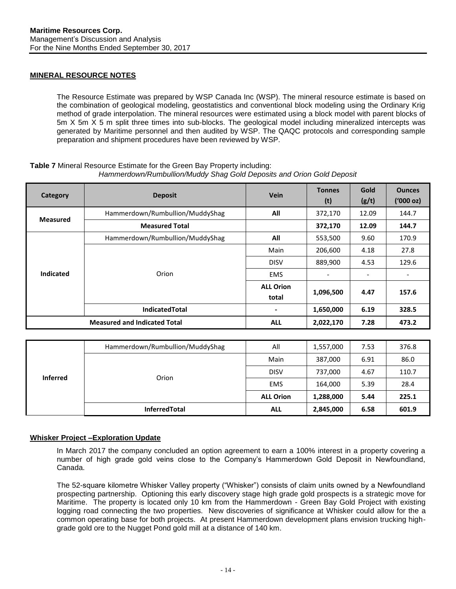# **MINERAL RESOURCE NOTES**

The Resource Estimate was prepared by WSP Canada Inc (WSP). The mineral resource estimate is based on the combination of geological modeling, geostatistics and conventional block modeling using the Ordinary Krig method of grade interpolation. The mineral resources were estimated using a block model with parent blocks of 5m X 5m X 5 m split three times into sub-blocks. The geological model including mineralized intercepts was generated by Maritime personnel and then audited by WSP. The QAQC protocols and corresponding sample preparation and shipment procedures have been reviewed by WSP.

# **Table 7** Mineral Resource Estimate for the Green Bay Property including:

| Category         | <b>Deposit</b>                      | <b>Vein</b>                            | <b>Tonnes</b><br>(t)     | Gold<br>(g/t) | <b>Ounces</b><br>$(000 \text{ oz})$ |
|------------------|-------------------------------------|----------------------------------------|--------------------------|---------------|-------------------------------------|
| <b>Measured</b>  | Hammerdown/Rumbullion/MuddyShag     | All                                    | 372,170                  | 12.09         | 144.7                               |
|                  | <b>Measured Total</b>               |                                        | 372,170                  | 12.09         | 144.7                               |
|                  | Hammerdown/Rumbullion/MuddyShag     | All                                    | 553,500                  | 9.60          | 170.9                               |
|                  |                                     | Main                                   | 206,600                  | 4.18          | 27.8                                |
|                  |                                     | <b>DISV</b>                            | 889,900                  | 4.53          | 129.6                               |
| <b>Indicated</b> | Orion                               | <b>EMS</b><br>$\overline{\phantom{a}}$ | $\overline{\phantom{a}}$ |               |                                     |
|                  |                                     | <b>ALL Orion</b><br>total              | 1,096,500                | 4.47          | 157.6                               |
|                  | <b>IndicatedTotal</b>               | ۰                                      | 1,650,000                | 6.19          | 328.5                               |
|                  | <b>Measured and Indicated Total</b> | <b>ALL</b>                             | 2,022,170                | 7.28          | 473.2                               |

# *Hammerdown/Rumbullion/Muddy Shag Gold Deposits and Orion Gold Deposit*

| <b>Inferred</b> | Hammerdown/Rumbullion/MuddyShag | All                                   | 1,557,000 | 7.53 | 376.8 |
|-----------------|---------------------------------|---------------------------------------|-----------|------|-------|
|                 |                                 | Main                                  | 387,000   | 6.91 | 86.0  |
|                 |                                 | <b>DISV</b>                           | 737,000   | 4.67 | 110.7 |
|                 | Orion                           | <b>EMS</b><br>5.39<br>28.4<br>164,000 |           |      |       |
|                 |                                 | <b>ALL Orion</b>                      | 1,288,000 | 5.44 | 225.1 |
|                 | <b>InferredTotal</b>            | <b>ALL</b>                            | 2,845,000 | 6.58 | 601.9 |

# <span id="page-13-0"></span>**Whisker Project –Exploration Update**

In March 2017 the company concluded an option agreement to earn a 100% interest in a property covering a number of high grade gold veins close to the Company's Hammerdown Gold Deposit in Newfoundland, Canada.

The 52-square kilometre Whisker Valley property ("Whisker") consists of claim units owned by a Newfoundland prospecting partnership. Optioning this early discovery stage high grade gold prospects is a strategic move for Maritime. The property is located only 10 km from the Hammerdown - Green Bay Gold Project with existing logging road connecting the two properties. New discoveries of significance at Whisker could allow for the a common operating base for both projects. At present Hammerdown development plans envision trucking highgrade gold ore to the Nugget Pond gold mill at a distance of 140 km.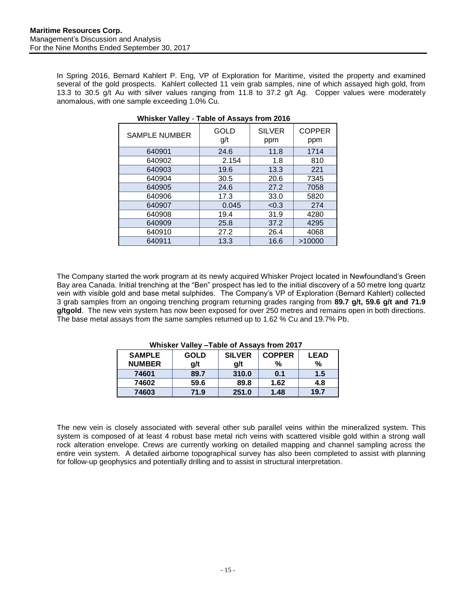In Spring 2016, Bernard Kahlert P. Eng, VP of Exploration for Maritime, visited the property and examined several of the gold prospects. Kahlert collected 11 vein grab samples, nine of which assayed high gold, from 13.3 to 30.5 g/t Au with silver values ranging from 11.8 to 37.2 g/t Ag. Copper values were moderately anomalous, with one sample exceeding 1.0% Cu.

| <b>SAMPLE NUMBER</b> | GOLD<br>g/t | <b>SILVER</b><br>ppm | <b>COPPER</b><br>ppm |
|----------------------|-------------|----------------------|----------------------|
| 640901               | 24.6        | 11.8                 | 1714                 |
| 640902               | 2.154       | 1.8                  | 810                  |
| 640903               | 19.6        | 13.3                 | 221                  |
| 640904               | 30.5        | 20.6                 | 7345                 |
| 640905               | 24.6        | 27.2                 | 7058                 |
| 640906               | 17.3        | 33.0                 | 5820                 |
| 640907               | 0.045       | < 0.3                | 274                  |
| 640908               | 19.4        | 31.9                 | 4280                 |
| 640909               | 25.8        | 37.2                 | 4295                 |
| 640910               | 27.2        | 26.4                 | 4068                 |
| 640911               | 13.3        | 16.6                 | >10000               |

**Whisker Valley** - **Table of Assays from 2016**

The Company started the work program at its newly acquired Whisker Project located in Newfoundland's Green Bay area Canada. Initial trenching at the "Ben" prospect has led to the initial discovery of a 50 metre long quartz vein with visible gold and base metal sulphides. The Company's VP of Exploration (Bernard Kahlert) collected 3 grab samples from an ongoing trenching program returning grades ranging from **89.7 g/t, 59.6 g/t and 71.9 g/tgold**. The new vein system has now been exposed for over 250 metres and remains open in both directions. The base metal assays from the same samples returned up to 1.62 % Cu and 19.7% Pb.

| ****************** |             |               |               |             |  |  |  |  |
|--------------------|-------------|---------------|---------------|-------------|--|--|--|--|
| <b>SAMPLE</b>      | <b>GOLD</b> | <b>SILVER</b> | <b>COPPER</b> | <b>LEAD</b> |  |  |  |  |
| <b>NUMBER</b>      | g/t         | a/t           | %             | %           |  |  |  |  |
| 74601              | 89.7        | 310.0         | 0.1           | 1.5         |  |  |  |  |
| 74602              | 59.6        | 89.8          | 1.62          | 4.8         |  |  |  |  |
| 74603              | 71.9        | 251.0         | 1.48          | 19.7        |  |  |  |  |

 **Whisker Valley –Table of Assays from 2017**

The new vein is closely associated with several other sub parallel veins within the mineralized system. This system is composed of at least 4 robust base metal rich veins with scattered visible gold within a strong wall rock alteration envelope. Crews are currently working on detailed mapping and channel sampling across the entire vein system. A detailed airborne topographical survey has also been completed to assist with planning for follow-up geophysics and potentially drilling and to assist in structural interpretation.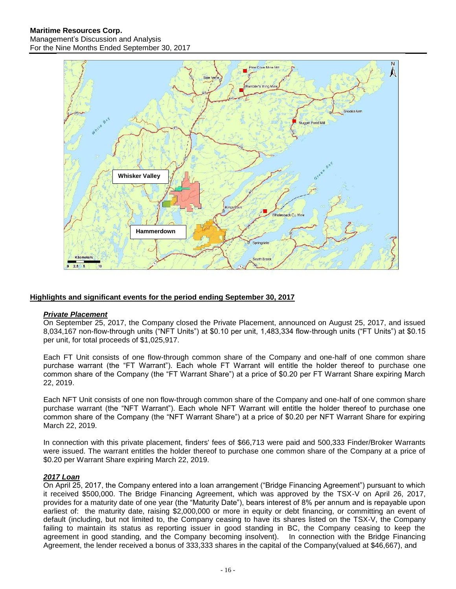

# <span id="page-15-0"></span>**Highlights and significant events for the period ending September 30, 2017**

## *Private Placement*

On September 25, 2017, the Company closed the Private Placement, announced on August 25, 2017, and issued 8,034,167 non-flow-through units ("NFT Units") at \$0.10 per unit, 1,483,334 flow-through units ("FT Units") at \$0.15 per unit, for total proceeds of \$1,025,917.

Each FT Unit consists of one flow-through common share of the Company and one-half of one common share purchase warrant (the "FT Warrant"). Each whole FT Warrant will entitle the holder thereof to purchase one common share of the Company (the "FT Warrant Share") at a price of \$0.20 per FT Warrant Share expiring March 22, 2019.

Each NFT Unit consists of one non flow-through common share of the Company and one-half of one common share purchase warrant (the "NFT Warrant"). Each whole NFT Warrant will entitle the holder thereof to purchase one common share of the Company (the "NFT Warrant Share") at a price of \$0.20 per NFT Warrant Share for expiring March 22, 2019.

In connection with this private placement, finders' fees of \$66,713 were paid and 500,333 Finder/Broker Warrants were issued. The warrant entitles the holder thereof to purchase one common share of the Company at a price of \$0.20 per Warrant Share expiring March 22, 2019.

## *2017 Loan*

On April 25, 2017, the Company entered into a loan arrangement ("Bridge Financing Agreement") pursuant to which it received \$500,000. The Bridge Financing Agreement, which was approved by the TSX-V on April 26, 2017, provides for a maturity date of one year (the "Maturity Date"), bears interest of 8% per annum and is repayable upon earliest of: the maturity date, raising \$2,000,000 or more in equity or debt financing, or committing an event of default (including, but not limited to, the Company ceasing to have its shares listed on the TSX-V, the Company failing to maintain its status as reporting issuer in good standing in BC, the Company ceasing to keep the agreement in good standing, and the Company becoming insolvent). In connection with the Bridge Financing Agreement, the lender received a bonus of 333,333 shares in the capital of the Company(valued at \$46,667), and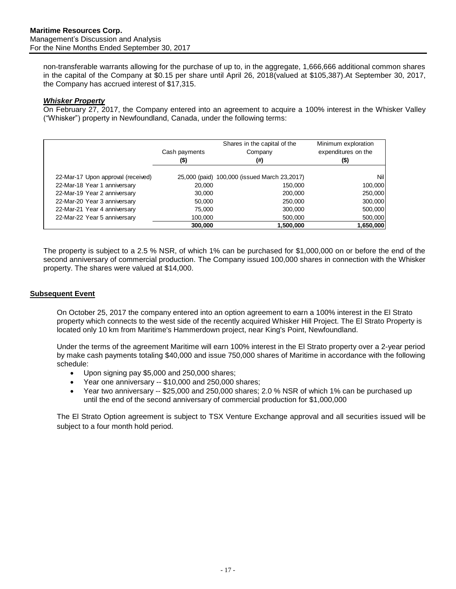non-transferable warrants allowing for the purchase of up to, in the aggregate, 1,666,666 additional common shares in the capital of the Company at \$0.15 per share until April 26, 2018(valued at \$105,387).At September 30, 2017, the Company has accrued interest of \$17,315.

# *Whisker Property*

On February 27, 2017, the Company entered into an agreement to acquire a 100% interest in the Whisker Valley ("Whisker") property in Newfoundland, Canada, under the following terms:

|                                    | Cash payments<br>(\$) | Shares in the capital of the<br>Company<br>(#) | Minimum exploration<br>expenditures on the<br>(\$) |
|------------------------------------|-----------------------|------------------------------------------------|----------------------------------------------------|
| 22-Mar-17 Upon approval (received) |                       | 25,000 (paid) 100,000 (issued March 23,2017)   | Nill                                               |
| 22-Mar-18 Year 1 anniversary       | 20,000                | 150,000                                        | 100,000                                            |
| 22-Mar-19 Year 2 anniversary       | 30,000                | 200,000                                        | 250,000                                            |
| 22-Mar-20 Year 3 anniversary       | 50.000                | 250,000                                        | 300,000                                            |
| 22-Mar-21 Year 4 anniversary       | 75,000                | 300,000                                        | 500,000                                            |
| 22-Mar-22 Year 5 anniversary       | 100,000               | 500,000                                        | 500,000                                            |
|                                    | 300,000               | 1.500.000                                      | 1,650,000                                          |

The property is subject to a 2.5 % NSR, of which 1% can be purchased for \$1,000,000 on or before the end of the second anniversary of commercial production. The Company issued 100,000 shares in connection with the Whisker property. The shares were valued at \$14,000.

## <span id="page-16-0"></span>**Subsequent Event**

On October 25, 2017 the company entered into an option agreement to earn a 100% interest in the El Strato property which connects to the west side of the recently acquired Whisker Hill Project. The El Strato Property is located only 10 km from Maritime's Hammerdown project, near King's Point, Newfoundland.

Under the terms of the agreement Maritime will earn 100% interest in the El Strato property over a 2-year period by make cash payments totaling \$40,000 and issue 750,000 shares of Maritime in accordance with the following schedule:

- Upon signing pay \$5,000 and 250,000 shares;
- Year one anniversary -- \$10,000 and 250,000 shares;
- Year two anniversary -- \$25,000 and 250,000 shares; 2.0 % NSR of which 1% can be purchased up until the end of the second anniversary of commercial production for \$1,000,000

The El Strato Option agreement is subject to TSX Venture Exchange approval and all securities issued will be subject to a four month hold period.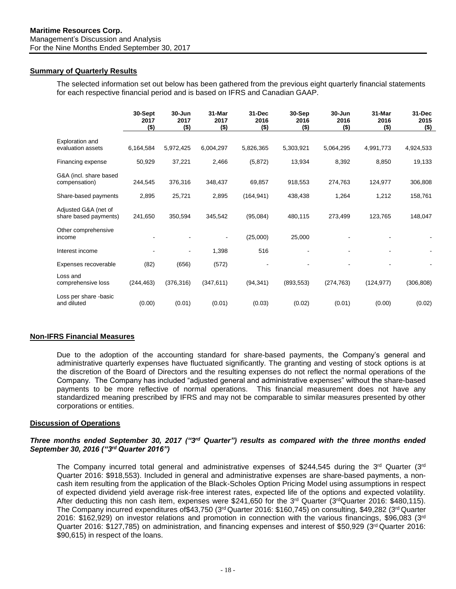# <span id="page-17-0"></span>**Summary of Quarterly Results**

The selected information set out below has been gathered from the previous eight quarterly financial statements for each respective financial period and is based on IFRS and Canadian GAAP.

|                                               | 30-Sept<br>2017<br>$($ \$) | $30 - Jun$<br>2017<br>$($ \$) | 31-Mar<br>2017<br>$($ \$) | 31-Dec<br>2016<br>(\$) | 30-Sep<br>2016<br>$($ \$) | $30 - Jun$<br>2016<br>$($ \$) | 31-Mar<br>2016<br>$($ \$) | 31-Dec<br>2015<br>$($)$ |
|-----------------------------------------------|----------------------------|-------------------------------|---------------------------|------------------------|---------------------------|-------------------------------|---------------------------|-------------------------|
| Exploration and<br>evaluation assets          | 6,164,584                  | 5,972,425                     | 6,004,297                 | 5,826,365              | 5,303,921                 | 5,064,295                     | 4,991,773                 | 4,924,533               |
| Financing expense                             | 50,929                     | 37,221                        | 2,466                     | (5,872)                | 13,934                    | 8,392                         | 8,850                     | 19,133                  |
| G&A (incl. share based<br>compensation)       | 244,545                    | 376,316                       | 348,437                   | 69,857                 | 918,553                   | 274,763                       | 124,977                   | 306,808                 |
| Share-based payments                          | 2,895                      | 25,721                        | 2,895                     | (164, 941)             | 438,438                   | 1,264                         | 1,212                     | 158,761                 |
| Adjusted G&A (net of<br>share based payments) | 241,650                    | 350,594                       | 345,542                   | (95,084)               | 480,115                   | 273,499                       | 123,765                   | 148,047                 |
| Other comprehensive<br>income                 |                            |                               |                           | (25,000)               | 25,000                    |                               |                           |                         |
| Interest income                               |                            |                               | 1,398                     | 516                    |                           |                               |                           |                         |
| Expenses recoverable                          | (82)                       | (656)                         | (572)                     |                        |                           |                               |                           |                         |
| Loss and<br>comprehensive loss                | (244, 463)                 | (376, 316)                    | (347, 611)                | (94, 341)              | (893, 553)                | (274, 763)                    | (124, 977)                | (306, 808)              |
| Loss per share -basic<br>and diluted          | (0.00)                     | (0.01)                        | (0.01)                    | (0.03)                 | (0.02)                    | (0.01)                        | (0.00)                    | (0.02)                  |

## **Non-IFRS Financial Measures**

Due to the adoption of the accounting standard for share-based payments, the Company's general and administrative quarterly expenses have fluctuated significantly. The granting and vesting of stock options is at the discretion of the Board of Directors and the resulting expenses do not reflect the normal operations of the Company. The Company has included "adjusted general and administrative expenses" without the share-based payments to be more reflective of normal operations. This financial measurement does not have any standardized meaning prescribed by IFRS and may not be comparable to similar measures presented by other corporations or entities.

## <span id="page-17-1"></span>**Discussion of Operations**

## *Three months ended September 30, 2017 ("3<sup>rd</sup> Quarter") results as compared with the three months ended September 30, 2016 ("3rd Quarter 2016")*

The Company incurred total general and administrative expenses of \$244,545 during the 3<sup>rd</sup> Quarter (3<sup>rd</sup> Quarter 2016: \$918,553). Included in general and administrative expenses are share-based payments, a noncash item resulting from the application of the Black-Scholes Option Pricing Model using assumptions in respect of expected dividend yield average risk-free interest rates, expected life of the options and expected volatility. After deducting this non cash item, expenses were \$241,650 for the 3<sup>rd</sup> Quarter (3<sup>rd</sup>Quarter 2016: \$480,115). The Company incurred expenditures of\$43,750 (3<sup>rd</sup> Quarter 2016: \$160,745) on consulting, \$49,282 (3<sup>rd</sup> Quarter 2016: \$162,929) on investor relations and promotion in connection with the various financings, \$96,083 (3<sup>rd</sup> Quarter 2016: \$127,785) on administration, and financing expenses and interest of \$50,929 (3<sup>rd</sup> Quarter 2016: \$90,615) in respect of the loans.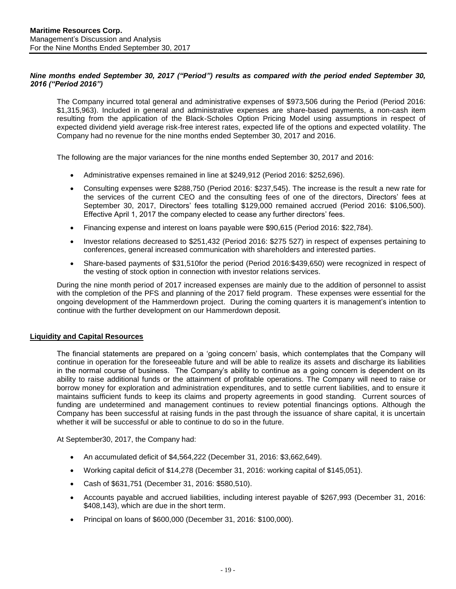# *Nine months ended September 30, 2017 ("Period") results as compared with the period ended September 30, 2016 ("Period 2016")*

The Company incurred total general and administrative expenses of \$973,506 during the Period (Period 2016: \$1,315,963). Included in general and administrative expenses are share-based payments, a non-cash item resulting from the application of the Black-Scholes Option Pricing Model using assumptions in respect of expected dividend yield average risk-free interest rates, expected life of the options and expected volatility. The Company had no revenue for the nine months ended September 30, 2017 and 2016.

The following are the major variances for the nine months ended September 30, 2017 and 2016:

- Administrative expenses remained in line at \$249,912 (Period 2016: \$252,696).
- Consulting expenses were \$288,750 (Period 2016: \$237,545). The increase is the result a new rate for the services of the current CEO and the consulting fees of one of the directors, Directors' fees at September 30, 2017, Directors' fees totalling \$129,000 remained accrued (Period 2016: \$106,500). Effective April 1, 2017 the company elected to cease any further directors' fees.
- Financing expense and interest on loans payable were \$90,615 (Period 2016: \$22,784).
- Investor relations decreased to \$251,432 (Period 2016: \$275 527) in respect of expenses pertaining to conferences, general increased communication with shareholders and interested parties.
- Share-based payments of \$31,510for the period (Period 2016:\$439,650) were recognized in respect of the vesting of stock option in connection with investor relations services.

During the nine month period of 2017 increased expenses are mainly due to the addition of personnel to assist with the completion of the PFS and planning of the 2017 field program. These expenses were essential for the ongoing development of the Hammerdown project. During the coming quarters it is management's intention to continue with the further development on our Hammerdown deposit.

## <span id="page-18-0"></span>**Liquidity and Capital Resources**

The financial statements are prepared on a 'going concern' basis, which contemplates that the Company will continue in operation for the foreseeable future and will be able to realize its assets and discharge its liabilities in the normal course of business. The Company's ability to continue as a going concern is dependent on its ability to raise additional funds or the attainment of profitable operations. The Company will need to raise or borrow money for exploration and administration expenditures, and to settle current liabilities, and to ensure it maintains sufficient funds to keep its claims and property agreements in good standing. Current sources of funding are undetermined and management continues to review potential financings options. Although the Company has been successful at raising funds in the past through the issuance of share capital, it is uncertain whether it will be successful or able to continue to do so in the future.

At September30, 2017, the Company had:

- An accumulated deficit of  $$4,564,222$  (December 31, 2016:  $$3,662,649$ ).
- Working capital deficit of \$14,278 (December 31, 2016: working capital of \$145,051).
- Cash of \$631,751 (December 31, 2016: \$580,510).
- Accounts payable and accrued liabilities, including interest payable of \$267,993 (December 31, 2016: \$408,143), which are due in the short term.
- Principal on loans of \$600,000 (December 31, 2016: \$100,000).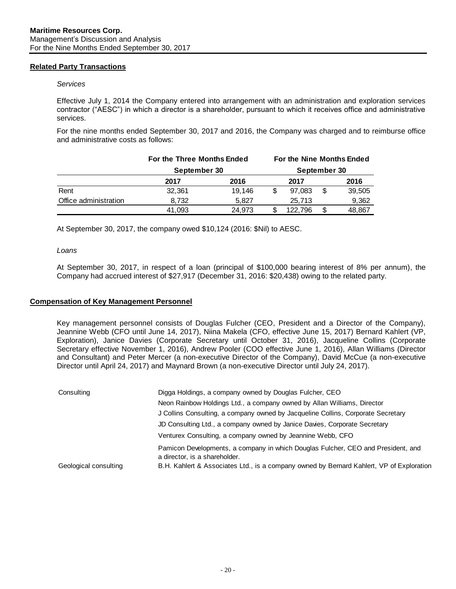## <span id="page-19-0"></span>**Related Party Transactions**

#### *Services*

Effective July 1, 2014 the Company entered into arrangement with an administration and exploration services contractor ("AESC") in which a director is a shareholder, pursuant to which it receives office and administrative services.

For the nine months ended September 30, 2017 and 2016, the Company was charged and to reimburse office and administrative costs as follows:

|                       | For the Three Months Ended |              |         | For the Nine Months Ended |
|-----------------------|----------------------------|--------------|---------|---------------------------|
|                       | September 30               | September 30 |         |                           |
|                       | 2017                       | 2016         | 2017    | 2016                      |
| Rent                  | 32.361                     | 19.146       | 97.083  | 39,505                    |
| Office administration | 8.732                      | 5.827        | 25.713  | 9,362                     |
|                       | 41,093                     | 24,973       | 122.796 | 48,867                    |

At September 30, 2017, the company owed \$10,124 (2016: \$Nil) to AESC.

## *Loans*

At September 30, 2017, in respect of a loan (principal of \$100,000 bearing interest of 8% per annum), the Company had accrued interest of \$27,917 (December 31, 2016: \$20,438) owing to the related party.

## **Compensation of Key Management Personnel**

Key management personnel consists of Douglas Fulcher (CEO, President and a Director of the Company), Jeannine Webb (CFO until June 14, 2017), Niina Makela (CFO, effective June 15, 2017) Bernard Kahlert (VP, Exploration), Janice Davies (Corporate Secretary until October 31, 2016), Jacqueline Collins (Corporate Secretary effective November 1, 2016), Andrew Pooler (COO effective June 1, 2016), Allan Williams (Director and Consultant) and Peter Mercer (a non-executive Director of the Company), David McCue (a non-executive Director until April 24, 2017) and Maynard Brown (a non-executive Director until July 24, 2017).

| Consulting            | Digga Holdings, a company owned by Douglas Fulcher, CEO                                                           |  |  |  |  |
|-----------------------|-------------------------------------------------------------------------------------------------------------------|--|--|--|--|
|                       | Neon Rainbow Holdings Ltd., a company owned by Allan Williams, Director                                           |  |  |  |  |
|                       | J Collins Consulting, a company owned by Jacqueline Collins, Corporate Secretary                                  |  |  |  |  |
|                       | JD Consulting Ltd., a company owned by Janice Davies, Corporate Secretary                                         |  |  |  |  |
|                       | Venturex Consulting, a company owned by Jeannine Webb, CFO                                                        |  |  |  |  |
|                       | Pamicon Developments, a company in which Douglas Fulcher, CEO and President, and<br>a director, is a shareholder. |  |  |  |  |
| Geological consulting | B.H. Kahlert & Associates Ltd., is a company owned by Bernard Kahlert, VP of Exploration                          |  |  |  |  |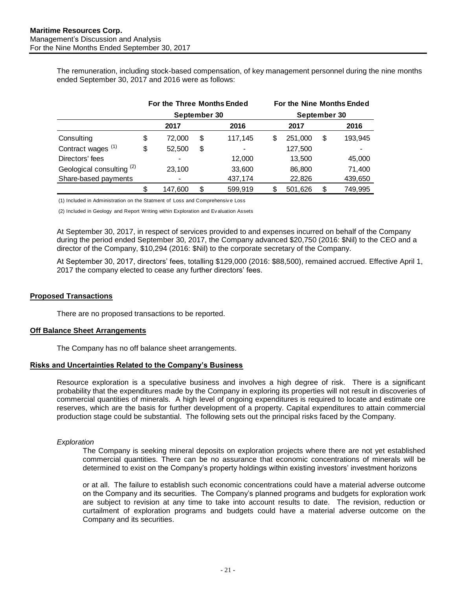The remuneration, including stock-based compensation, of key management personnel during the nine months ended September 30, 2017 and 2016 were as follows:

|                                      | For the Three Months Ended |              |    |                | For the Nine Months Ended<br>September 30 |         |    |         |
|--------------------------------------|----------------------------|--------------|----|----------------|-------------------------------------------|---------|----|---------|
|                                      | September 30               |              |    |                |                                           |         |    |         |
|                                      |                            | 2017<br>2016 |    |                |                                           | 2017    |    | 2016    |
| Consulting                           | \$                         | 72,000       | \$ | 117,145        | S                                         | 251,000 | S  | 193,945 |
| Contract wages <sup>(1)</sup>        | \$                         | 52,500       | \$ | $\blacksquare$ |                                           | 127,500 |    |         |
| Directors' fees                      |                            |              |    | 12,000         |                                           | 13,500  |    | 45,000  |
| Geological consulting <sup>(2)</sup> |                            | 23,100       |    | 33,600         |                                           | 86,800  |    | 71,400  |
| Share-based payments                 |                            |              |    | 437,174        |                                           | 22,826  |    | 439,650 |
|                                      | \$                         | 147,600      | \$ | 599,919        | S                                         | 501,626 | \$ | 749,995 |

(1) Included in Administration on the Statment of Loss and Comprehensiv e Loss

(2) Included in Geology and Report Writing within Exploration and Ev aluation Assets

At September 30, 2017, in respect of services provided to and expenses incurred on behalf of the Company during the period ended September 30, 2017, the Company advanced \$20,750 (2016: \$Nil) to the CEO and a director of the Company, \$10,294 (2016: \$Nil) to the corporate secretary of the Company.

At September 30, 2017, directors' fees, totalling \$129,000 (2016: \$88,500), remained accrued. Effective April 1, 2017 the company elected to cease any further directors' fees.

#### <span id="page-20-0"></span>**Proposed Transactions**

There are no proposed transactions to be reported.

#### <span id="page-20-1"></span>**Off Balance Sheet Arrangements**

The Company has no off balance sheet arrangements.

#### <span id="page-20-2"></span>**Risks and Uncertainties Related to the Company's Business**

Resource exploration is a speculative business and involves a high degree of risk. There is a significant probability that the expenditures made by the Company in exploring its properties will not result in discoveries of commercial quantities of minerals. A high level of ongoing expenditures is required to locate and estimate ore reserves, which are the basis for further development of a property. Capital expenditures to attain commercial production stage could be substantial. The following sets out the principal risks faced by the Company.

#### *Exploration*

The Company is seeking mineral deposits on exploration projects where there are not yet established commercial quantities. There can be no assurance that economic concentrations of minerals will be determined to exist on the Company's property holdings within existing investors' investment horizons

or at all. The failure to establish such economic concentrations could have a material adverse outcome on the Company and its securities. The Company's planned programs and budgets for exploration work are subject to revision at any time to take into account results to date. The revision, reduction or curtailment of exploration programs and budgets could have a material adverse outcome on the Company and its securities.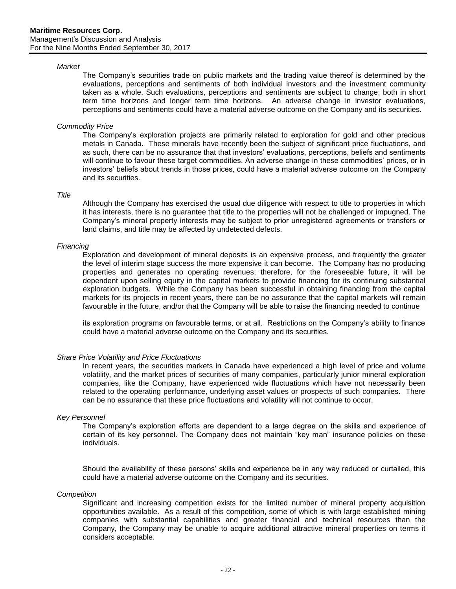#### *Market*

The Company's securities trade on public markets and the trading value thereof is determined by the evaluations, perceptions and sentiments of both individual investors and the investment community taken as a whole. Such evaluations, perceptions and sentiments are subject to change; both in short term time horizons and longer term time horizons. An adverse change in investor evaluations, perceptions and sentiments could have a material adverse outcome on the Company and its securities.

#### *Commodity Price*

The Company's exploration projects are primarily related to exploration for gold and other precious metals in Canada. These minerals have recently been the subject of significant price fluctuations, and as such, there can be no assurance that that investors' evaluations, perceptions, beliefs and sentiments will continue to favour these target commodities. An adverse change in these commodities' prices, or in investors' beliefs about trends in those prices, could have a material adverse outcome on the Company and its securities.

#### *Title*

Although the Company has exercised the usual due diligence with respect to title to properties in which it has interests, there is no guarantee that title to the properties will not be challenged or impugned. The Company's mineral property interests may be subject to prior unregistered agreements or transfers or land claims, and title may be affected by undetected defects.

#### *Financing*

Exploration and development of mineral deposits is an expensive process, and frequently the greater the level of interim stage success the more expensive it can become. The Company has no producing properties and generates no operating revenues; therefore, for the foreseeable future, it will be dependent upon selling equity in the capital markets to provide financing for its continuing substantial exploration budgets. While the Company has been successful in obtaining financing from the capital markets for its projects in recent years, there can be no assurance that the capital markets will remain favourable in the future, and/or that the Company will be able to raise the financing needed to continue

its exploration programs on favourable terms, or at all. Restrictions on the Company's ability to finance could have a material adverse outcome on the Company and its securities.

#### *Share Price Volatility and Price Fluctuations*

In recent years, the securities markets in Canada have experienced a high level of price and volume volatility, and the market prices of securities of many companies, particularly junior mineral exploration companies, like the Company, have experienced wide fluctuations which have not necessarily been related to the operating performance, underlying asset values or prospects of such companies. There can be no assurance that these price fluctuations and volatility will not continue to occur.

#### *Key Personnel*

The Company's exploration efforts are dependent to a large degree on the skills and experience of certain of its key personnel. The Company does not maintain "key man" insurance policies on these individuals.

Should the availability of these persons' skills and experience be in any way reduced or curtailed, this could have a material adverse outcome on the Company and its securities.

#### *Competition*

Significant and increasing competition exists for the limited number of mineral property acquisition opportunities available. As a result of this competition, some of which is with large established mining companies with substantial capabilities and greater financial and technical resources than the Company, the Company may be unable to acquire additional attractive mineral properties on terms it considers acceptable.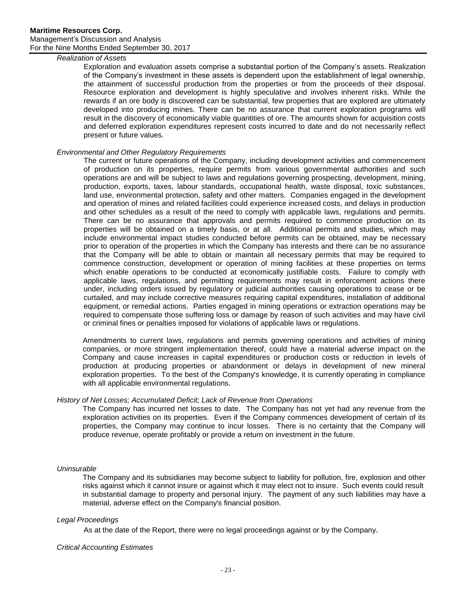## *Realization of Assets*

Exploration and evaluation assets comprise a substantial portion of the Company's assets. Realization of the Company's investment in these assets is dependent upon the establishment of legal ownership, the attainment of successful production from the properties or from the proceeds of their disposal. Resource exploration and development is highly speculative and involves inherent risks. While the rewards if an ore body is discovered can be substantial, few properties that are explored are ultimately developed into producing mines. There can be no assurance that current exploration programs will result in the discovery of economically viable quantities of ore. The amounts shown for acquisition costs and deferred exploration expenditures represent costs incurred to date and do not necessarily reflect present or future values.

## *Environmental and Other Regulatory Requirements*

The current or future operations of the Company, including development activities and commencement of production on its properties, require permits from various governmental authorities and such operations are and will be subject to laws and regulations governing prospecting, development, mining, production, exports, taxes, labour standards, occupational health, waste disposal, toxic substances, land use, environmental protection, safety and other matters. Companies engaged in the development and operation of mines and related facilities could experience increased costs, and delays in production and other schedules as a result of the need to comply with applicable laws, regulations and permits. There can be no assurance that approvals and permits required to commence production on its properties will be obtained on a timely basis, or at all. Additional permits and studies, which may include environmental impact studies conducted before permits can be obtained, may be necessary prior to operation of the properties in which the Company has interests and there can be no assurance that the Company will be able to obtain or maintain all necessary permits that may be required to commence construction, development or operation of mining facilities at these properties on terms which enable operations to be conducted at economically justifiable costs. Failure to comply with applicable laws, regulations, and permitting requirements may result in enforcement actions there under, including orders issued by regulatory or judicial authorities causing operations to cease or be curtailed, and may include corrective measures requiring capital expenditures, installation of additional equipment, or remedial actions. Parties engaged in mining operations or extraction operations may be required to compensate those suffering loss or damage by reason of such activities and may have civil or criminal fines or penalties imposed for violations of applicable laws or regulations.

Amendments to current laws, regulations and permits governing operations and activities of mining companies, or more stringent implementation thereof, could have a material adverse impact on the Company and cause increases in capital expenditures or production costs or reduction in levels of production at producing properties or abandonment or delays in development of new mineral exploration properties. To the best of the Company's knowledge, it is currently operating in compliance with all applicable environmental regulations.

## *History of Net Losses; Accumulated Deficit; Lack of Revenue from Operations*

The Company has incurred net losses to date. The Company has not yet had any revenue from the exploration activities on its properties. Even if the Company commences development of certain of its properties, the Company may continue to incur losses. There is no certainty that the Company will produce revenue, operate profitably or provide a return on investment in the future.

## *Uninsurable*

The Company and its subsidiaries may become subject to liability for pollution, fire, explosion and other risks against which it cannot insure or against which it may elect not to insure. Such events could result in substantial damage to property and personal injury. The payment of any such liabilities may have a material, adverse effect on the Company's financial position.

## *Legal Proceedings*

As at the date of the Report, there were no legal proceedings against or by the Company.

#### *Critical Accounting Estimates*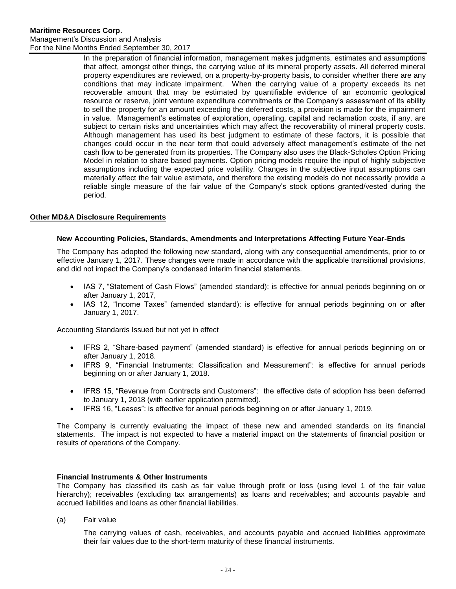In the preparation of financial information, management makes judgments, estimates and assumptions that affect, amongst other things, the carrying value of its mineral property assets. All deferred mineral property expenditures are reviewed, on a property-by-property basis, to consider whether there are any conditions that may indicate impairment. When the carrying value of a property exceeds its net recoverable amount that may be estimated by quantifiable evidence of an economic geological resource or reserve, joint venture expenditure commitments or the Company's assessment of its ability to sell the property for an amount exceeding the deferred costs, a provision is made for the impairment in value. Management's estimates of exploration, operating, capital and reclamation costs, if any, are subject to certain risks and uncertainties which may affect the recoverability of mineral property costs. Although management has used its best judgment to estimate of these factors, it is possible that changes could occur in the near term that could adversely affect management's estimate of the net cash flow to be generated from its properties. The Company also uses the Black-Scholes Option Pricing Model in relation to share based payments. Option pricing models require the input of highly subjective assumptions including the expected price volatility. Changes in the subjective input assumptions can materially affect the fair value estimate, and therefore the existing models do not necessarily provide a reliable single measure of the fair value of the Company's stock options granted/vested during the period.

# <span id="page-23-0"></span>**Other MD&A Disclosure Requirements**

## **New Accounting Policies, Standards, Amendments and Interpretations Affecting Future Year-Ends**

The Company has adopted the following new standard, along with any consequential amendments, prior to or effective January 1, 2017. These changes were made in accordance with the applicable transitional provisions, and did not impact the Company's condensed interim financial statements.

- IAS 7, "Statement of Cash Flows" (amended standard): is effective for annual periods beginning on or after January 1, 2017,
- IAS 12, "Income Taxes" (amended standard): is effective for annual periods beginning on or after January 1, 2017.

Accounting Standards Issued but not yet in effect

- IFRS 2, "Share-based payment" (amended standard) is effective for annual periods beginning on or after January 1, 2018.
- IFRS 9, "Financial Instruments: Classification and Measurement": is effective for annual periods beginning on or after January 1, 2018.
- IFRS 15, "Revenue from Contracts and Customers": the effective date of adoption has been deferred to January 1, 2018 (with earlier application permitted).
- IFRS 16, "Leases": is effective for annual periods beginning on or after January 1, 2019.

The Company is currently evaluating the impact of these new and amended standards on its financial statements. The impact is not expected to have a material impact on the statements of financial position or results of operations of the Company.

## **Financial Instruments & Other Instruments**

The Company has classified its cash as fair value through profit or loss (using level 1 of the fair value hierarchy); receivables (excluding tax arrangements) as loans and receivables; and accounts payable and accrued liabilities and loans as other financial liabilities.

(a) Fair value

The carrying values of cash, receivables, and accounts payable and accrued liabilities approximate their fair values due to the short-term maturity of these financial instruments.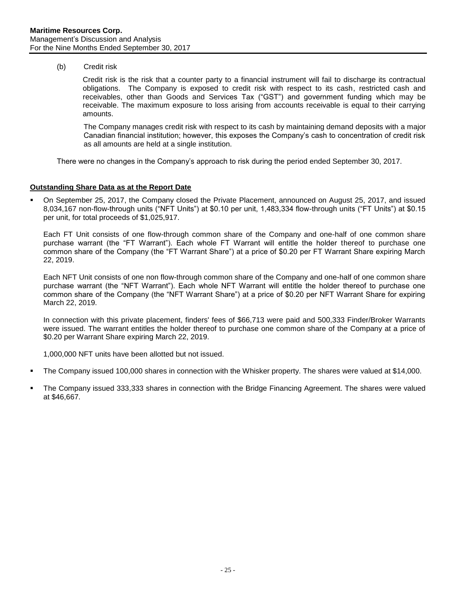(b) Credit risk

Credit risk is the risk that a counter party to a financial instrument will fail to discharge its contractual obligations. The Company is exposed to credit risk with respect to its cash, restricted cash and receivables, other than Goods and Services Tax ("GST") and government funding which may be receivable. The maximum exposure to loss arising from accounts receivable is equal to their carrying amounts.

The Company manages credit risk with respect to its cash by maintaining demand deposits with a major Canadian financial institution; however, this exposes the Company's cash to concentration of credit risk as all amounts are held at a single institution.

There were no changes in the Company's approach to risk during the period ended September 30, 2017.

## **Outstanding Share Data as at the Report Date**

On September 25, 2017, the Company closed the Private Placement, announced on August 25, 2017, and issued 8,034,167 non-flow-through units ("NFT Units") at \$0.10 per unit, 1,483,334 flow-through units ("FT Units") at \$0.15 per unit, for total proceeds of \$1,025,917.

Each FT Unit consists of one flow-through common share of the Company and one-half of one common share purchase warrant (the "FT Warrant"). Each whole FT Warrant will entitle the holder thereof to purchase one common share of the Company (the "FT Warrant Share") at a price of \$0.20 per FT Warrant Share expiring March 22, 2019.

Each NFT Unit consists of one non flow-through common share of the Company and one-half of one common share purchase warrant (the "NFT Warrant"). Each whole NFT Warrant will entitle the holder thereof to purchase one common share of the Company (the "NFT Warrant Share") at a price of \$0.20 per NFT Warrant Share for expiring March 22, 2019.

In connection with this private placement, finders' fees of \$66,713 were paid and 500,333 Finder/Broker Warrants were issued. The warrant entitles the holder thereof to purchase one common share of the Company at a price of \$0.20 per Warrant Share expiring March 22, 2019.

1,000,000 NFT units have been allotted but not issued.

- The Company issued 100,000 shares in connection with the Whisker property. The shares were valued at \$14,000.
- The Company issued 333,333 shares in connection with the Bridge Financing Agreement. The shares were valued at \$46,667.